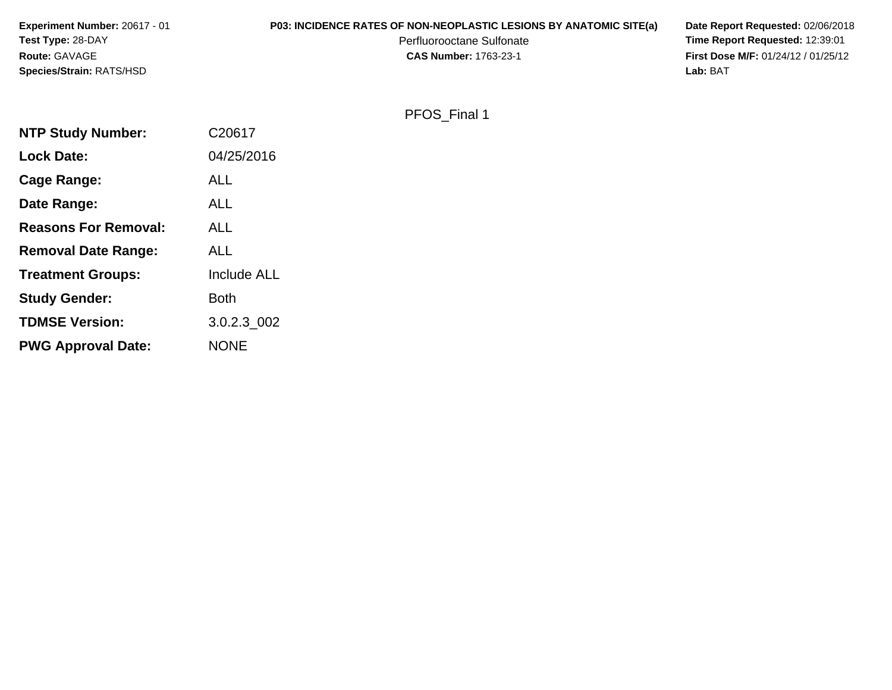| <b>Experiment Number: 20617 - 01</b> | <b>P03: INCIDENCE RATES OF NON-NEOPLASTIC LESIONS BY ANATOMIC SITE(a)</b> | Date Report Requested: 02/06/2018          |
|--------------------------------------|---------------------------------------------------------------------------|--------------------------------------------|
| <b>Test Type: 28-DAY</b>             | Perfluorooctane Sulfonate                                                 | <b>Time Report Requested: 12:39:01</b>     |
| <b>Route: GAVAGE</b>                 | <b>CAS Number: 1763-23-1</b>                                              | <b>First Dose M/F: 01/24/12 / 01/25/12</b> |
| <b>Species/Strain: RATS/HSD</b>      |                                                                           | Lab: BAT                                   |

# PFOS\_Final 1

| <b>NTP Study Number:</b>    | C20617             |
|-----------------------------|--------------------|
| <b>Lock Date:</b>           | 04/25/2016         |
| Cage Range:                 | <b>ALL</b>         |
| Date Range:                 | <b>ALL</b>         |
| <b>Reasons For Removal:</b> | ALL                |
| <b>Removal Date Range:</b>  | ALL                |
| <b>Treatment Groups:</b>    | <b>Include ALL</b> |
| <b>Study Gender:</b>        | <b>Both</b>        |
| <b>TDMSE Version:</b>       | 3.0.2.3_002        |
| <b>PWG Approval Date:</b>   | <b>NONE</b>        |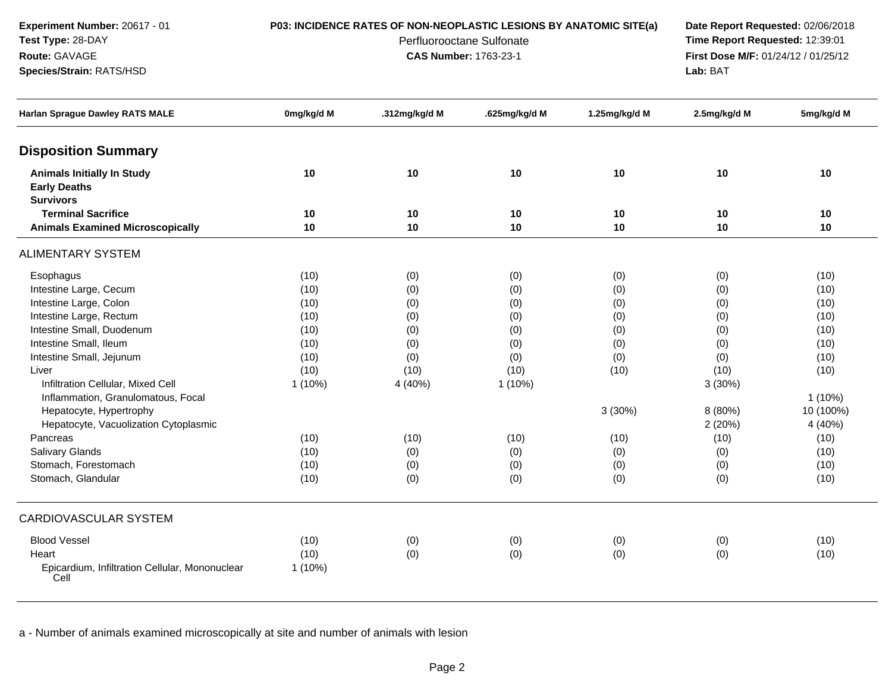**Experiment Number:** 20617 - 01**Test Type:** 28-DAY

**Species/Strain:** RATS/HSD

**Route:** GAVAGE

## **P03: INCIDENCE RATES OF NON-NEOPLASTIC LESIONS BY ANATOMIC SITE(a) Date Report Requested:** 02/06/2018

Perfluorooctane Sulfonate<br>CAS Number: 1763-23-1

 **Time Report Requested:** 12:39:01 **First Dose M/F:** 01/24/12 / 01/25/12<br>**Lab:** BAT **Lab:** BAT

| <b>Harlan Sprague Dawley RATS MALE</b>                                       | 0mg/kg/d M | .312mg/kg/d M | .625mg/kg/d M | 1.25mg/kg/d M | 2.5mg/kg/d M | 5mg/kg/d M |
|------------------------------------------------------------------------------|------------|---------------|---------------|---------------|--------------|------------|
| <b>Disposition Summary</b>                                                   |            |               |               |               |              |            |
| <b>Animals Initially In Study</b><br><b>Early Deaths</b><br><b>Survivors</b> | 10         | 10            | 10            | 10            | 10           | 10         |
| <b>Terminal Sacrifice</b>                                                    | 10         | 10            | 10            | 10            | 10           | 10         |
| <b>Animals Examined Microscopically</b>                                      | 10         | 10            | 10            | 10            | 10           | 10         |
| <b>ALIMENTARY SYSTEM</b>                                                     |            |               |               |               |              |            |
| Esophagus                                                                    | (10)       | (0)           | (0)           | (0)           | (0)          | (10)       |
| Intestine Large, Cecum                                                       | (10)       | (0)           | (0)           | (0)           | (0)          | (10)       |
| Intestine Large, Colon                                                       | (10)       | (0)           | (0)           | (0)           | (0)          | (10)       |
| Intestine Large, Rectum                                                      | (10)       | (0)           | (0)           | (0)           | (0)          | (10)       |
| Intestine Small, Duodenum                                                    | (10)       | (0)           | (0)           | (0)           | (0)          | (10)       |
| Intestine Small, Ileum                                                       | (10)       | (0)           | (0)           | (0)           | (0)          | (10)       |
| Intestine Small, Jejunum                                                     | (10)       | (0)           | (0)           | (0)           | (0)          | (10)       |
| Liver                                                                        | (10)       | (10)          | (10)          | (10)          | (10)         | (10)       |
| Infiltration Cellular, Mixed Cell                                            | $1(10\%)$  | 4 (40%)       | $1(10\%)$     |               | 3 (30%)      |            |
| Inflammation, Granulomatous, Focal                                           |            |               |               |               |              | $1(10\%)$  |
| Hepatocyte, Hypertrophy                                                      |            |               |               | 3 (30%)       | 8 (80%)      | 10 (100%)  |
| Hepatocyte, Vacuolization Cytoplasmic                                        |            |               |               |               | 2(20%)       | 4 (40%)    |
| Pancreas                                                                     | (10)       | (10)          | (10)          | (10)          | (10)         | (10)       |
| <b>Salivary Glands</b>                                                       | (10)       | (0)           | (0)           | (0)           | (0)          | (10)       |
| Stomach, Forestomach                                                         | (10)       | (0)           | (0)           | (0)           | (0)          | (10)       |
| Stomach, Glandular                                                           | (10)       | (0)           | (0)           | (0)           | (0)          | (10)       |
| <b>CARDIOVASCULAR SYSTEM</b>                                                 |            |               |               |               |              |            |
| <b>Blood Vessel</b>                                                          | (10)       | (0)           | (0)           | (0)           | (0)          | (10)       |
| Heart                                                                        | (10)       | (0)           | (0)           | (0)           | (0)          | (10)       |
| Epicardium, Infiltration Cellular, Mononuclear<br>Cell                       | $1(10\%)$  |               |               |               |              |            |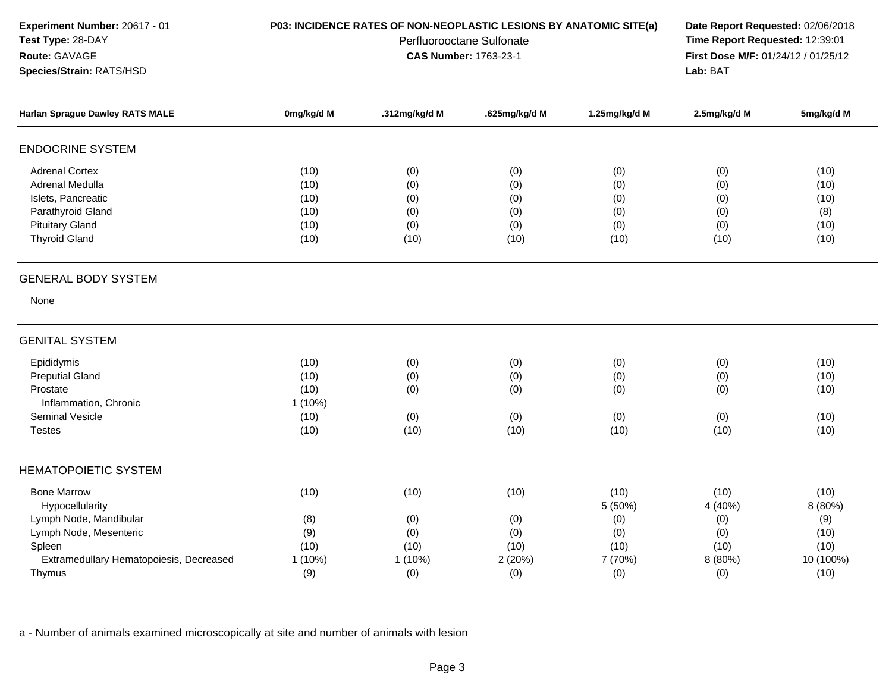**Experiment Number:** 20617 - 01**Test Type:** 28-DAY**Route:** GAVAGE**Species/Strain:** RATS/HSD

### **P03: INCIDENCE RATES OF NON-NEOPLASTIC LESIONS BY ANATOMIC SITE(a) Date Report Requested:** 02/06/2018

Perfluorooctane Sulfonate<br>CAS Number: 1763-23-1

 **Time Report Requested:** 12:39:01 **First Dose M/F:** 01/24/12 / 01/25/12<br>**Lab:** BAT **Lab:** BAT

| Harlan Sprague Dawley RATS MALE         | 0mg/kg/d M | .312mg/kg/d M | .625mg/kg/d M | 1.25mg/kg/d M | 2.5mg/kg/d M | 5mg/kg/d M |
|-----------------------------------------|------------|---------------|---------------|---------------|--------------|------------|
| <b>ENDOCRINE SYSTEM</b>                 |            |               |               |               |              |            |
|                                         |            |               |               |               |              |            |
| <b>Adrenal Cortex</b>                   | (10)       | (0)           | (0)           | (0)           | (0)          | (10)       |
| Adrenal Medulla                         | (10)       | (0)           | (0)           | (0)           | (0)          | (10)       |
| Islets, Pancreatic                      | (10)       | (0)           | (0)           | (0)           | (0)          | (10)       |
| Parathyroid Gland                       | (10)       | (0)           | (0)           | (0)           | (0)          | (8)        |
| <b>Pituitary Gland</b>                  | (10)       | (0)           | (0)           | (0)           | (0)          | (10)       |
| <b>Thyroid Gland</b>                    | (10)       | (10)          | (10)          | (10)          | (10)         | (10)       |
| <b>GENERAL BODY SYSTEM</b>              |            |               |               |               |              |            |
| None                                    |            |               |               |               |              |            |
| <b>GENITAL SYSTEM</b>                   |            |               |               |               |              |            |
| Epididymis                              | (10)       | (0)           | (0)           | (0)           | (0)          | (10)       |
| <b>Preputial Gland</b>                  | (10)       | (0)           | (0)           | (0)           | (0)          | (10)       |
| Prostate                                | (10)       | (0)           | (0)           | (0)           | (0)          | (10)       |
| Inflammation, Chronic                   | 1 (10%)    |               |               |               |              |            |
| <b>Seminal Vesicle</b>                  | (10)       | (0)           | (0)           | (0)           | (0)          | (10)       |
| <b>Testes</b>                           | (10)       | (10)          | (10)          | (10)          | (10)         | (10)       |
| <b>HEMATOPOIETIC SYSTEM</b>             |            |               |               |               |              |            |
| <b>Bone Marrow</b>                      | (10)       | (10)          | (10)          | (10)          | (10)         | (10)       |
| Hypocellularity                         |            |               |               | 5 (50%)       | 4 (40%)      | 8 (80%)    |
| Lymph Node, Mandibular                  | (8)        | (0)           | (0)           | (0)           | (0)          | (9)        |
| Lymph Node, Mesenteric                  | (9)        | (0)           | (0)           | (0)           | (0)          | (10)       |
| Spleen                                  | (10)       | (10)          | (10)          | (10)          | (10)         | (10)       |
| Extramedullary Hematopoiesis, Decreased | 1(10%)     | 1 (10%)       | 2 (20%)       | 7 (70%)       | 8 (80%)      | 10 (100%)  |
| Thymus                                  | (9)        | (0)           | (0)           | (0)           | (0)          | (10)       |
|                                         |            |               |               |               |              |            |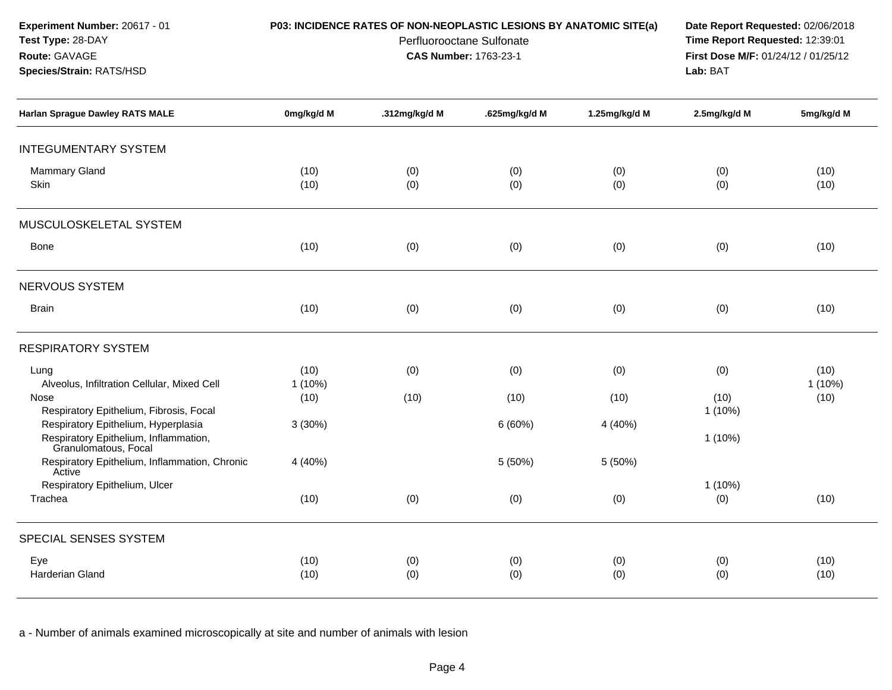**Experiment Number:** 20617 - 01**Test Type:** 28-DAY

**Species/Strain:** RATS/HSD

**Route:** GAVAGE

### **P03: INCIDENCE RATES OF NON-NEOPLASTIC LESIONS BY ANATOMIC SITE(a) Date Report Requested:** 02/06/2018

Perfluorooctane Sulfonate<br>CAS Number: 1763-23-1

 **Time Report Requested:** 12:39:01 **First Dose M/F:** 01/24/12 / 01/25/12<br>**Lab:** BAT **Lab:** BAT

| <b>Harlan Sprague Dawley RATS MALE</b>                                                               | 0mg/kg/d M        | .312mg/kg/d M | .625mg/kg/d M | 1.25mg/kg/d M | 2.5mg/kg/d M     | 5mg/kg/d M      |
|------------------------------------------------------------------------------------------------------|-------------------|---------------|---------------|---------------|------------------|-----------------|
| <b>INTEGUMENTARY SYSTEM</b>                                                                          |                   |               |               |               |                  |                 |
| Mammary Gland<br>Skin                                                                                | (10)<br>(10)      | (0)<br>(0)    | (0)<br>(0)    | (0)<br>(0)    | (0)<br>(0)       | (10)<br>(10)    |
| MUSCULOSKELETAL SYSTEM                                                                               |                   |               |               |               |                  |                 |
| Bone                                                                                                 | (10)              | (0)           | (0)           | (0)           | (0)              | (10)            |
| <b>NERVOUS SYSTEM</b>                                                                                |                   |               |               |               |                  |                 |
| <b>Brain</b>                                                                                         | (10)              | (0)           | (0)           | (0)           | (0)              | (10)            |
| <b>RESPIRATORY SYSTEM</b>                                                                            |                   |               |               |               |                  |                 |
| Lung<br>Alveolus, Infiltration Cellular, Mixed Cell                                                  | (10)<br>$1(10\%)$ | (0)           | (0)           | (0)           | (0)              | (10)<br>1 (10%) |
| Nose<br>Respiratory Epithelium, Fibrosis, Focal                                                      | (10)              | (10)          | (10)          | (10)          | (10)<br>1 (10%)  | (10)            |
| Respiratory Epithelium, Hyperplasia<br>Respiratory Epithelium, Inflammation,<br>Granulomatous, Focal | 3(30%)            |               | 6(60%)        | 4 (40%)       | $1(10\%)$        |                 |
| Respiratory Epithelium, Inflammation, Chronic<br>Active                                              | 4 (40%)           |               | 5 (50%)       | 5 (50%)       |                  |                 |
| Respiratory Epithelium, Ulcer<br>Trachea                                                             | (10)              | (0)           | (0)           | (0)           | $1(10\%)$<br>(0) | (10)            |
| SPECIAL SENSES SYSTEM                                                                                |                   |               |               |               |                  |                 |
| Eye<br>Harderian Gland                                                                               | (10)<br>(10)      | (0)<br>(0)    | (0)<br>(0)    | (0)<br>(0)    | (0)<br>(0)       | (10)<br>(10)    |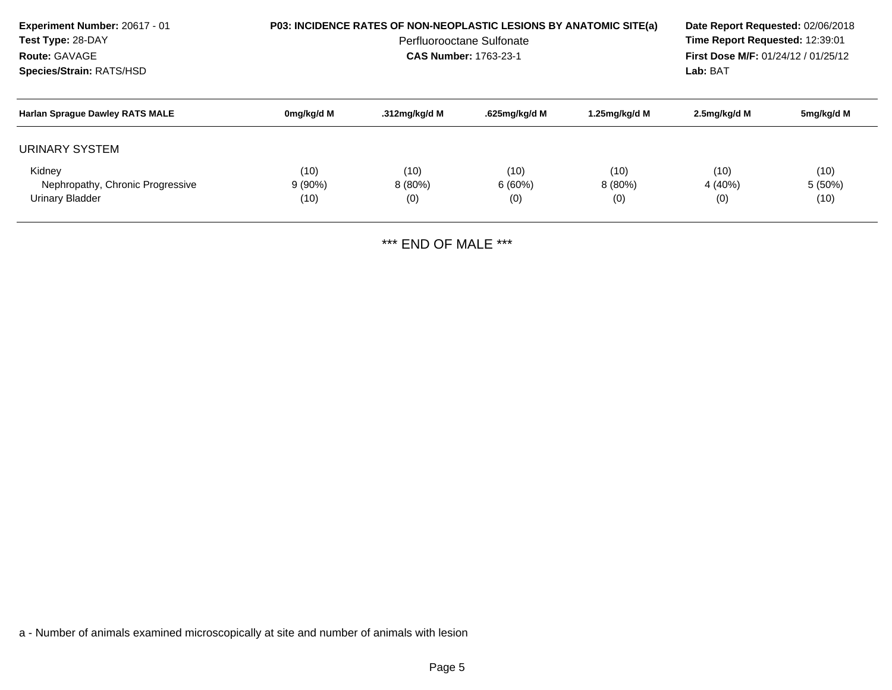| <b>Experiment Number: 20617 - 01</b><br>Test Type: 28-DAY<br>Route: GAVAGE<br>Species/Strain: RATS/HSD |                           | <b>P03: INCIDENCE RATES OF NON-NEOPLASTIC LESIONS BY ANATOMIC SITE(a)</b><br>Perfluorooctane Sulfonate<br><b>CAS Number: 1763-23-1</b> | Date Report Requested: 02/06/2018<br>Time Report Requested: 12:39:01<br>First Dose M/F: 01/24/12 / 01/25/12<br>Lab: BAT |                       |                        |                           |
|--------------------------------------------------------------------------------------------------------|---------------------------|----------------------------------------------------------------------------------------------------------------------------------------|-------------------------------------------------------------------------------------------------------------------------|-----------------------|------------------------|---------------------------|
| <b>Harlan Sprague Dawley RATS MALE</b>                                                                 | 0mg/kg/d M                | .312mg/kg/d M                                                                                                                          | .625mg/kg/d M                                                                                                           | 1.25mg/kg/d M         | 2.5mg/kg/d M           | 5mg/kg/d M                |
| URINARY SYSTEM                                                                                         |                           |                                                                                                                                        |                                                                                                                         |                       |                        |                           |
| Kidney<br>Nephropathy, Chronic Progressive<br>Urinary Bladder                                          | (10)<br>$9(90\%)$<br>(10) | (10)<br>$8(80\%)$<br>(0)                                                                                                               | (10)<br>6(60%)<br>(0)                                                                                                   | (10)<br>8(80%)<br>(0) | (10)<br>4 (40%)<br>(0) | (10)<br>$5(50\%)$<br>(10) |

\*\*\* END OF MALE \*\*\*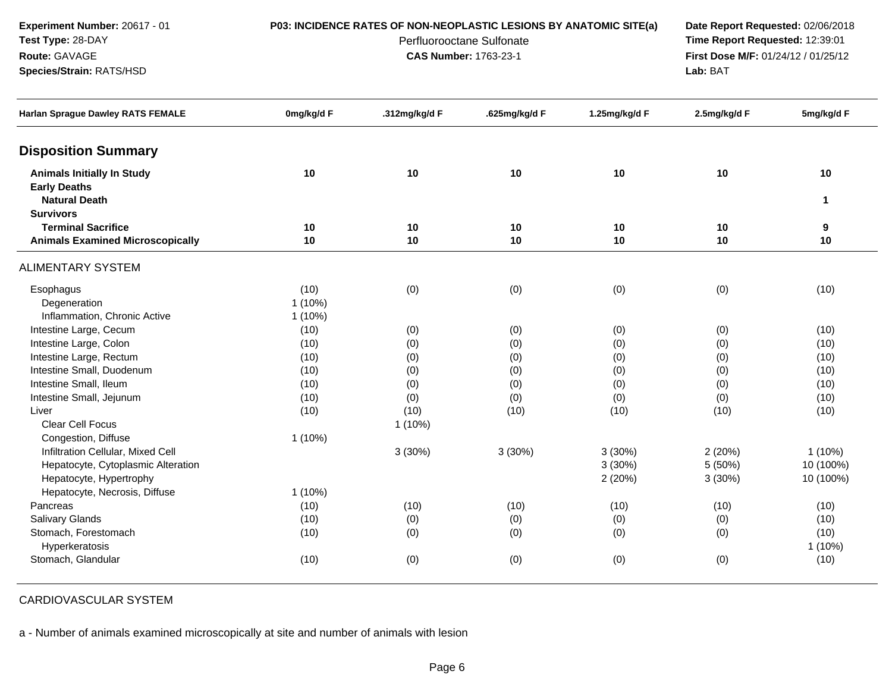**Experiment Number:** 20617 - 01**Test Type:** 28-DAY

**Species/Strain:** RATS/HSD

**Route:** GAVAGE

### **P03: INCIDENCE RATES OF NON-NEOPLASTIC LESIONS BY ANATOMIC SITE(a) Date Report Requested:** 02/06/2018

Perfluorooctane Sulfonate<br>CAS Number: 1763-23-1

 **Time Report Requested:** 12:39:01 **First Dose M/F:** 01/24/12 / 01/25/12<br>**Lab:** BAT **Lab:** BAT

| <b>Harlan Sprague Dawley RATS FEMALE</b> | 0mg/kg/d F | .312mg/kg/d F | .625mg/kg/d F | 1.25mg/kg/d F | 2.5mg/kg/d F | 5mg/kg/d F   |
|------------------------------------------|------------|---------------|---------------|---------------|--------------|--------------|
| <b>Disposition Summary</b>               |            |               |               |               |              |              |
| <b>Animals Initially In Study</b>        | 10         | 10            | 10            | 10            | 10           | 10           |
| <b>Early Deaths</b>                      |            |               |               |               |              |              |
| <b>Natural Death</b>                     |            |               |               |               |              | $\mathbf{1}$ |
| <b>Survivors</b>                         |            |               |               |               |              |              |
| <b>Terminal Sacrifice</b>                | 10         | 10            | 10            | 10            | 10           | 9            |
| <b>Animals Examined Microscopically</b>  | 10         | 10            | 10            | 10            | 10           | 10           |
| <b>ALIMENTARY SYSTEM</b>                 |            |               |               |               |              |              |
| Esophagus                                | (10)       | (0)           | (0)           | (0)           | (0)          | (10)         |
| Degeneration                             | $1(10\%)$  |               |               |               |              |              |
| Inflammation, Chronic Active             | $1(10\%)$  |               |               |               |              |              |
| Intestine Large, Cecum                   | (10)       | (0)           | (0)           | (0)           | (0)          | (10)         |
| Intestine Large, Colon                   | (10)       | (0)           | (0)           | (0)           | (0)          | (10)         |
| Intestine Large, Rectum                  | (10)       | (0)           | (0)           | (0)           | (0)          | (10)         |
| Intestine Small, Duodenum                | (10)       | (0)           | (0)           | (0)           | (0)          | (10)         |
| Intestine Small, Ileum                   | (10)       | (0)           | (0)           | (0)           | (0)          | (10)         |
| Intestine Small, Jejunum                 | (10)       | (0)           | (0)           | (0)           | (0)          | (10)         |
| Liver                                    | (10)       | (10)          | (10)          | (10)          | (10)         | (10)         |
| <b>Clear Cell Focus</b>                  |            | $1(10\%)$     |               |               |              |              |
| Congestion, Diffuse                      | $1(10\%)$  |               |               |               |              |              |
| Infiltration Cellular, Mixed Cell        |            | 3(30%)        | 3(30%)        | 3(30%)        | 2(20%)       | $1(10\%)$    |
| Hepatocyte, Cytoplasmic Alteration       |            |               |               | 3(30%)        | 5 (50%)      | 10 (100%)    |
| Hepatocyte, Hypertrophy                  |            |               |               | 2(20%)        | 3(30%)       | 10 (100%)    |
| Hepatocyte, Necrosis, Diffuse            | $1(10\%)$  |               |               |               |              |              |
| Pancreas                                 | (10)       | (10)          | (10)          | (10)          | (10)         | (10)         |
| Salivary Glands                          | (10)       | (0)           | (0)           | (0)           | (0)          | (10)         |
| Stomach, Forestomach                     | (10)       | (0)           | (0)           | (0)           | (0)          | (10)         |
| Hyperkeratosis                           |            |               |               |               |              | $1(10\%)$    |
| Stomach, Glandular                       | (10)       | (0)           | (0)           | (0)           | (0)          | (10)         |
|                                          |            |               |               |               |              |              |

CARDIOVASCULAR SYSTEM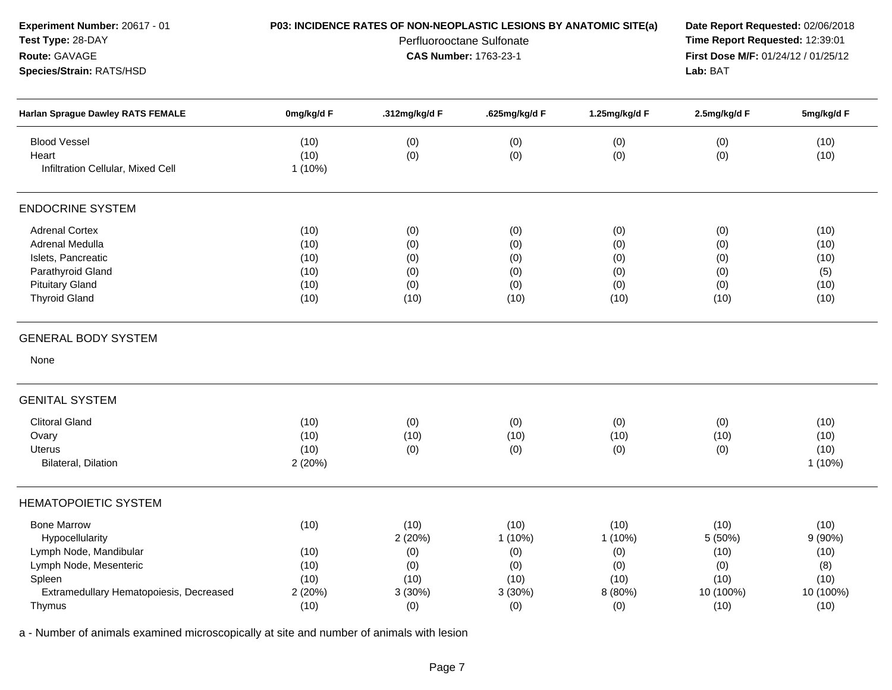| Experiment Number: 20617 - 01<br>Test Type: 28-DAY<br>Route: GAVAGE<br>Species/Strain: RATS/HSD                                                          |                                                 | P03: INCIDENCE RATES OF NON-NEOPLASTIC LESIONS BY ANATOMIC SITE(a)<br>Perfluorooctane Sulfonate<br>CAS Number: 1763-23-1 | Date Report Requested: 02/06/2018<br>Time Report Requested: 12:39:01<br>First Dose M/F: 01/24/12 / 01/25/12<br>Lab: BAT |                                                           |                                                             |                                                            |
|----------------------------------------------------------------------------------------------------------------------------------------------------------|-------------------------------------------------|--------------------------------------------------------------------------------------------------------------------------|-------------------------------------------------------------------------------------------------------------------------|-----------------------------------------------------------|-------------------------------------------------------------|------------------------------------------------------------|
| <b>Harlan Sprague Dawley RATS FEMALE</b>                                                                                                                 | 0mg/kg/d F                                      | .312mg/kg/d F                                                                                                            | .625mg/kg/d F                                                                                                           | 1.25mg/kg/d F                                             | 2.5mg/kg/d F                                                | 5mg/kg/d F                                                 |
| <b>Blood Vessel</b><br>Heart<br>Infiltration Cellular, Mixed Cell                                                                                        | (10)<br>(10)<br>$1(10\%)$                       | (0)<br>(0)                                                                                                               | (0)<br>(0)                                                                                                              | (0)<br>(0)                                                | (0)<br>(0)                                                  | (10)<br>(10)                                               |
| <b>ENDOCRINE SYSTEM</b>                                                                                                                                  |                                                 |                                                                                                                          |                                                                                                                         |                                                           |                                                             |                                                            |
| <b>Adrenal Cortex</b><br>Adrenal Medulla<br>Islets, Pancreatic<br>Parathyroid Gland<br><b>Pituitary Gland</b><br><b>Thyroid Gland</b>                    | (10)<br>(10)<br>(10)<br>(10)<br>(10)<br>(10)    | (0)<br>(0)<br>(0)<br>(0)<br>(0)<br>(10)                                                                                  | (0)<br>(0)<br>(0)<br>(0)<br>(0)<br>(10)                                                                                 | (0)<br>(0)<br>(0)<br>(0)<br>(0)<br>(10)                   | (0)<br>(0)<br>(0)<br>(0)<br>(0)<br>(10)                     | (10)<br>(10)<br>(10)<br>(5)<br>(10)<br>(10)                |
| <b>GENERAL BODY SYSTEM</b>                                                                                                                               |                                                 |                                                                                                                          |                                                                                                                         |                                                           |                                                             |                                                            |
| None                                                                                                                                                     |                                                 |                                                                                                                          |                                                                                                                         |                                                           |                                                             |                                                            |
| <b>GENITAL SYSTEM</b>                                                                                                                                    |                                                 |                                                                                                                          |                                                                                                                         |                                                           |                                                             |                                                            |
| <b>Clitoral Gland</b><br>Ovary<br>Uterus<br>Bilateral, Dilation                                                                                          | (10)<br>(10)<br>(10)<br>2(20%)                  | (0)<br>(10)<br>(0)                                                                                                       | (0)<br>(10)<br>(0)                                                                                                      | (0)<br>(10)<br>(0)                                        | (0)<br>(10)<br>(0)                                          | (10)<br>(10)<br>(10)<br>1(10%)                             |
| <b>HEMATOPOIETIC SYSTEM</b>                                                                                                                              |                                                 |                                                                                                                          |                                                                                                                         |                                                           |                                                             |                                                            |
| <b>Bone Marrow</b><br>Hypocellularity<br>Lymph Node, Mandibular<br>Lymph Node, Mesenteric<br>Spleen<br>Extramedullary Hematopoiesis, Decreased<br>Thymus | (10)<br>(10)<br>(10)<br>(10)<br>2 (20%)<br>(10) | (10)<br>2 (20%)<br>(0)<br>(0)<br>(10)<br>3(30%)<br>(0)                                                                   | (10)<br>$1(10\%)$<br>(0)<br>(0)<br>(10)<br>3(30%)<br>(0)                                                                | (10)<br>$1(10\%)$<br>(0)<br>(0)<br>(10)<br>8 (80%)<br>(0) | (10)<br>5 (50%)<br>(10)<br>(0)<br>(10)<br>10 (100%)<br>(10) | (10)<br>9(90%)<br>(10)<br>(8)<br>(10)<br>10 (100%)<br>(10) |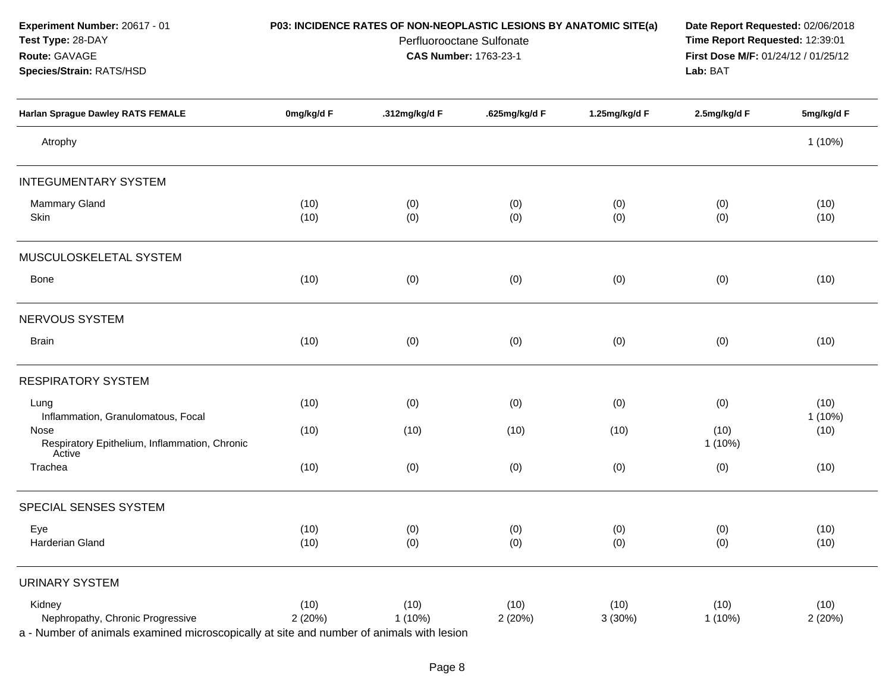| Experiment Number: 20617 - 01<br>Test Type: 28-DAY<br>Route: GAVAGE<br>Species/Strain: RATS/HSD |                | P03: INCIDENCE RATES OF NON-NEOPLASTIC LESIONS BY ANATOMIC SITE(a)<br>Perfluorooctane Sulfonate<br>CAS Number: 1763-23-1 | Date Report Requested: 02/06/2018<br>Time Report Requested: 12:39:01<br>First Dose M/F: 01/24/12 / 01/25/12<br>Lab: BAT |                |                   |                   |
|-------------------------------------------------------------------------------------------------|----------------|--------------------------------------------------------------------------------------------------------------------------|-------------------------------------------------------------------------------------------------------------------------|----------------|-------------------|-------------------|
| <b>Harlan Sprague Dawley RATS FEMALE</b>                                                        | 0mg/kg/d F     | .312mg/kg/d F                                                                                                            | .625mg/kg/d F                                                                                                           | 1.25mg/kg/d F  | 2.5mg/kg/d F      | 5mg/kg/d F        |
| Atrophy                                                                                         |                |                                                                                                                          |                                                                                                                         |                |                   | 1(10%)            |
| <b>INTEGUMENTARY SYSTEM</b>                                                                     |                |                                                                                                                          |                                                                                                                         |                |                   |                   |
| Mammary Gland<br>Skin                                                                           | (10)<br>(10)   | (0)<br>(0)                                                                                                               | (0)<br>(0)                                                                                                              | (0)<br>(0)     | (0)<br>(0)        | (10)<br>(10)      |
| MUSCULOSKELETAL SYSTEM                                                                          |                |                                                                                                                          |                                                                                                                         |                |                   |                   |
| Bone                                                                                            | (10)           | (0)                                                                                                                      | (0)                                                                                                                     | (0)            | (0)               | (10)              |
| NERVOUS SYSTEM                                                                                  |                |                                                                                                                          |                                                                                                                         |                |                   |                   |
| <b>Brain</b>                                                                                    | (10)           | (0)                                                                                                                      | (0)                                                                                                                     | (0)            | (0)               | (10)              |
| <b>RESPIRATORY SYSTEM</b>                                                                       |                |                                                                                                                          |                                                                                                                         |                |                   |                   |
| Lung<br>Inflammation, Granulomatous, Focal                                                      | (10)           | (0)                                                                                                                      | (0)                                                                                                                     | (0)            | (0)               | (10)<br>$1(10\%)$ |
| Nose<br>Respiratory Epithelium, Inflammation, Chronic<br>Active                                 | (10)           | (10)                                                                                                                     | (10)                                                                                                                    | (10)           | (10)<br>$1(10\%)$ | (10)              |
| Trachea                                                                                         | (10)           | (0)                                                                                                                      | (0)                                                                                                                     | (0)            | (0)               | (10)              |
| SPECIAL SENSES SYSTEM                                                                           |                |                                                                                                                          |                                                                                                                         |                |                   |                   |
| Eye<br>Harderian Gland                                                                          | (10)<br>(10)   | (0)<br>(0)                                                                                                               | (0)<br>(0)                                                                                                              | (0)<br>(0)     | (0)<br>(0)        | (10)<br>(10)      |
| <b>URINARY SYSTEM</b>                                                                           |                |                                                                                                                          |                                                                                                                         |                |                   |                   |
| Kidney<br>Nephropathy, Chronic Progressive                                                      | (10)<br>2(20%) | (10)<br>1 (10%)                                                                                                          | (10)<br>2 (20%)                                                                                                         | (10)<br>3(30%) | (10)<br>1(10%)    | (10)<br>2(20%)    |